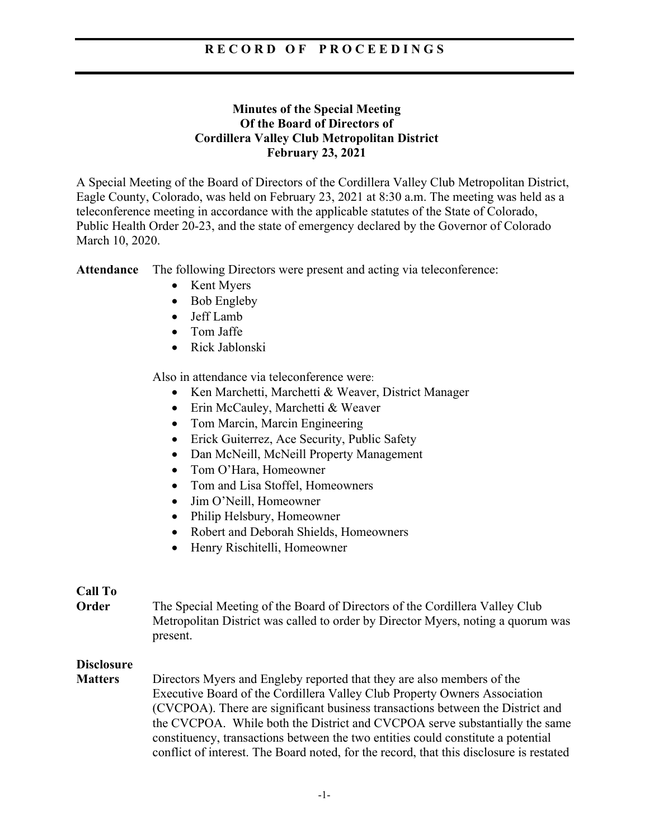# **R E C O R D O F P R O C E E D I N G S**

## **Minutes of the Special Meeting Of the Board of Directors of Cordillera Valley Club Metropolitan District February 23, 2021**

A Special Meeting of the Board of Directors of the Cordillera Valley Club Metropolitan District, Eagle County, Colorado, was held on February 23, 2021 at 8:30 a.m. The meeting was held as a teleconference meeting in accordance with the applicable statutes of the State of Colorado, Public Health Order 20-23, and the state of emergency declared by the Governor of Colorado March 10, 2020.

**Attendance** The following Directors were present and acting via teleconference:

- Kent Myers
- Bob Engleby
- Jeff Lamb
- Tom Jaffe
- Rick Jablonski

Also in attendance via teleconference were:

- Ken Marchetti, Marchetti & Weaver, District Manager
- Erin McCauley, Marchetti & Weaver
- Tom Marcin, Marcin Engineering
- Erick Guiterrez, Ace Security, Public Safety
- Dan McNeill, McNeill Property Management
- Tom O'Hara, Homeowner
- Tom and Lisa Stoffel, Homeowners
- Jim O'Neill, Homeowner
- Philip Helsbury, Homeowner
- Robert and Deborah Shields, Homeowners
- Henry Rischitelli, Homeowner

## **Call To**

**Order** The Special Meeting of the Board of Directors of the Cordillera Valley Club Metropolitan District was called to order by Director Myers, noting a quorum was present.

## **Disclosure**

**Matters** Directors Myers and Engleby reported that they are also members of the Executive Board of the Cordillera Valley Club Property Owners Association (CVCPOA). There are significant business transactions between the District and the CVCPOA. While both the District and CVCPOA serve substantially the same constituency, transactions between the two entities could constitute a potential conflict of interest. The Board noted, for the record, that this disclosure is restated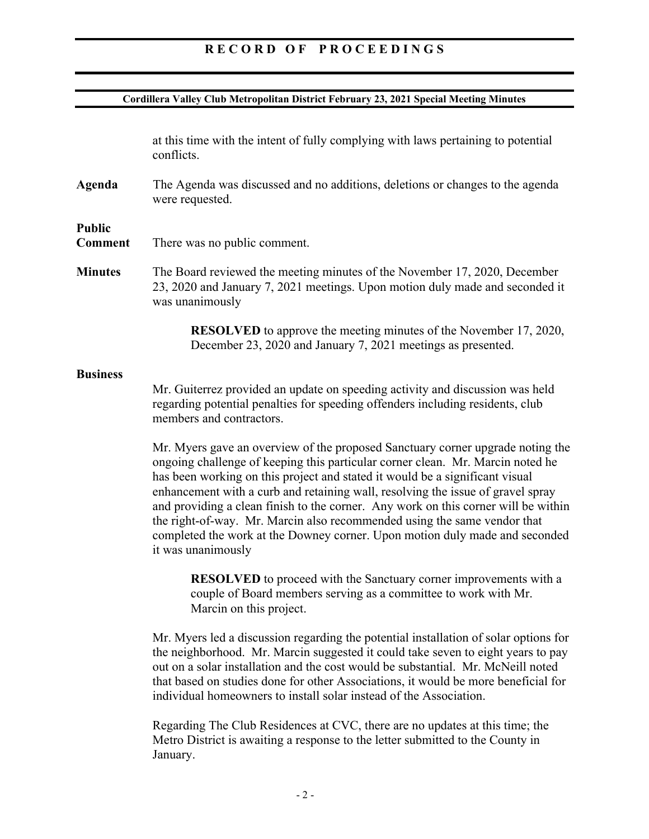# **R E C O R D O F P R O C E E D I N G S**

#### **Cordillera Valley Club Metropolitan District February 23, 2021 Special Meeting Minutes**

at this time with the intent of fully complying with laws pertaining to potential conflicts.

**Agenda** The Agenda was discussed and no additions, deletions or changes to the agenda were requested.

#### **Public**

- **Comment** There was no public comment.
- **Minutes** The Board reviewed the meeting minutes of the November 17, 2020, December 23, 2020 and January 7, 2021 meetings. Upon motion duly made and seconded it was unanimously

**RESOLVED** to approve the meeting minutes of the November 17, 2020, December 23, 2020 and January 7, 2021 meetings as presented.

#### **Business**

 Mr. Guiterrez provided an update on speeding activity and discussion was held regarding potential penalties for speeding offenders including residents, club members and contractors.

Mr. Myers gave an overview of the proposed Sanctuary corner upgrade noting the ongoing challenge of keeping this particular corner clean. Mr. Marcin noted he has been working on this project and stated it would be a significant visual enhancement with a curb and retaining wall, resolving the issue of gravel spray and providing a clean finish to the corner. Any work on this corner will be within the right-of-way. Mr. Marcin also recommended using the same vendor that completed the work at the Downey corner. Upon motion duly made and seconded it was unanimously

**RESOLVED** to proceed with the Sanctuary corner improvements with a couple of Board members serving as a committee to work with Mr. Marcin on this project.

Mr. Myers led a discussion regarding the potential installation of solar options for the neighborhood. Mr. Marcin suggested it could take seven to eight years to pay out on a solar installation and the cost would be substantial. Mr. McNeill noted that based on studies done for other Associations, it would be more beneficial for individual homeowners to install solar instead of the Association.

Regarding The Club Residences at CVC, there are no updates at this time; the Metro District is awaiting a response to the letter submitted to the County in January.